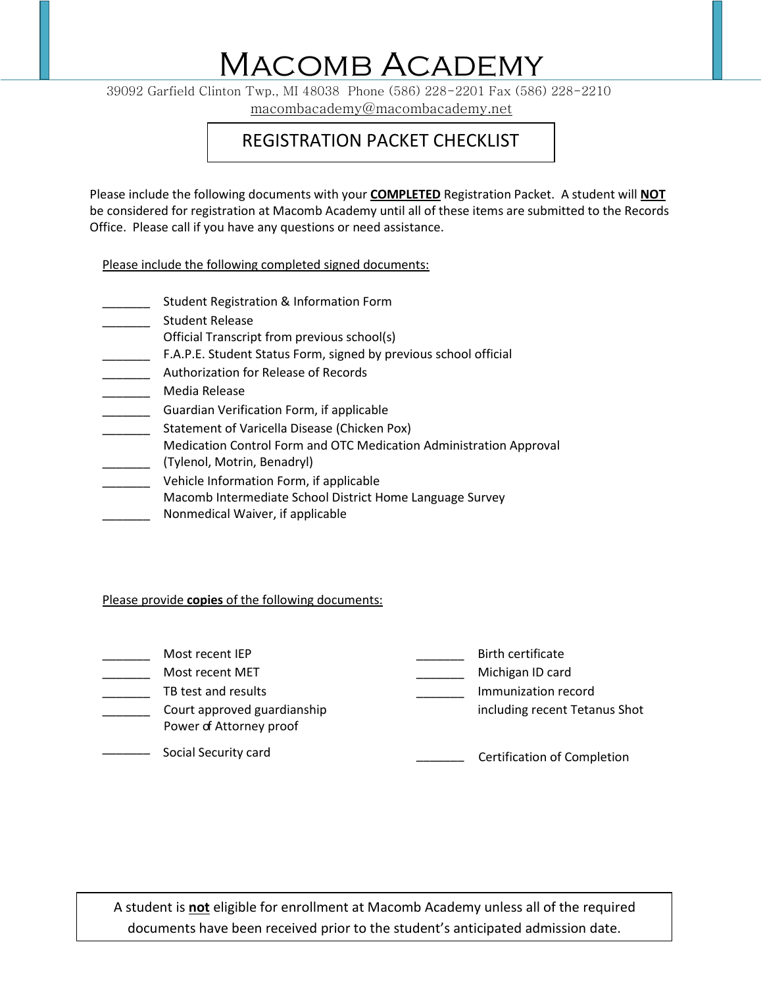39092 Garfield Clinton Twp., MI 48038 Phone (586) 228-2201 Fax (586) 228-2210 macombacademy@macombacademy.net

### REGISTRATION PACKET CHECKLIST

Please include the following documents with your **COMPLETED** Registration Packet. A student will **NOT** be considered for registration at Macomb Academy until all of these items are submitted to the Records Office. Please call if you have any questions or need assistance.

Please include the following completed signed documents:

- \_\_\_\_\_\_\_ Student Registration & Information Form
- Student Release
- Official Transcript from previous school(s)
- \_\_\_\_\_\_\_ F.A.P.E. Student Status Form, signed by previous school official
- \_\_\_\_\_\_\_ Authorization for Release of Records
- \_\_\_\_\_\_\_ Media Release
- **EXECO FORM CONTEGO EXECO** FORM GUARDIES
- \_\_\_\_\_\_\_ Statement of Varicella Disease (Chicken Pox)
- Medication Control Form and OTC Medication Administration Approval
- \_\_\_\_\_\_\_ (Tylenol, Motrin, Benadryl)
- \_\_\_\_\_\_\_ Vehicle Information Form, if applicable
- Macomb Intermediate School District Home Language Survey
- \_\_\_\_\_\_\_ Nonmedical Waiver, if applicable

#### Please provide **copies** of the following documents:

| Most recent IEP                                        | <b>Birth certificate</b>           |
|--------------------------------------------------------|------------------------------------|
| Most recent MET                                        | Michigan ID card                   |
| TB test and results                                    | Immunization record                |
| Court approved guardianship<br>Power of Attorney proof | including recent Tetanus Shot      |
| Social Security card                                   | <b>Certification of Completion</b> |

A student is **not** eligible for enrollment at Macomb Academy unless all of the required documents have been received prior to the student's anticipated admission date.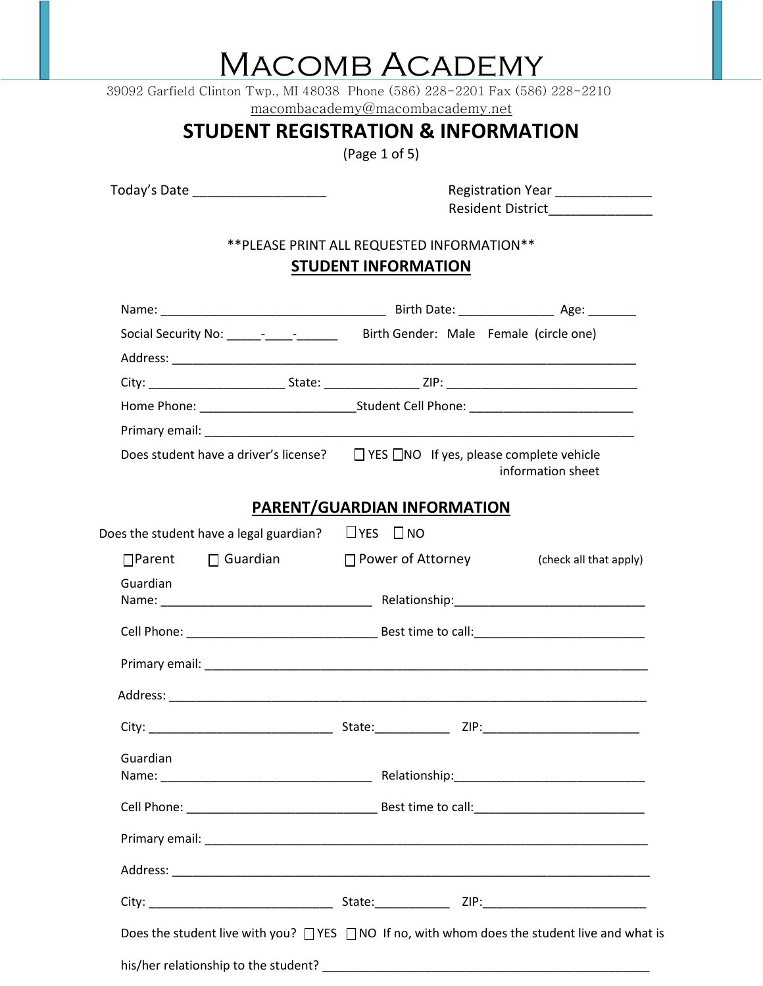39092 Garfield Clinton Twp., MI 48038 Phone (586) 228-2201 Fax (586) 228-2210 [macombacademy@macombacademy.net](mailto:macombacademy@macombacademy.net)

### **STUDENT REGISTRATION & INFORMATION**

(Page 1 of 5)

Today's Date \_\_\_\_\_\_\_\_\_\_\_\_\_\_\_\_\_\_ Registration Year \_\_\_\_\_\_\_\_\_\_\_\_\_ Resident District\_\_\_\_\_\_\_\_\_\_\_\_\_\_\_\_

#### \*\*PLEASE PRINT ALL REQUESTED INFORMATION\*\* **STUDENT INFORMATION**

| Social Security No: ______-_________________ Birth Gender: Male Female (circle one)                     |                                    |                        |
|---------------------------------------------------------------------------------------------------------|------------------------------------|------------------------|
|                                                                                                         |                                    |                        |
|                                                                                                         |                                    |                        |
|                                                                                                         |                                    |                        |
|                                                                                                         |                                    |                        |
| Does student have a driver's license? $\Box$ YES $\Box$ NO If yes, please complete vehicle              |                                    | information sheet      |
|                                                                                                         | <b>PARENT/GUARDIAN INFORMATION</b> |                        |
| Does the student have a legal guardian? $\Box$ YES $\Box$ NO                                            |                                    |                        |
| $\Box$ Parent $\Box$ Guardian $\Box$ Power of Attorney                                                  |                                    | (check all that apply) |
| Guardian                                                                                                |                                    |                        |
| Cell Phone: Sest time to call:                                                                          |                                    |                        |
|                                                                                                         |                                    |                        |
|                                                                                                         |                                    |                        |
|                                                                                                         |                                    |                        |
| Guardian                                                                                                |                                    |                        |
|                                                                                                         |                                    |                        |
|                                                                                                         |                                    |                        |
|                                                                                                         |                                    |                        |
|                                                                                                         |                                    |                        |
|                                                                                                         |                                    |                        |
| Does the student live with you? $\Box$ YES $\Box$ NO If no, with whom does the student live and what is |                                    |                        |
|                                                                                                         |                                    |                        |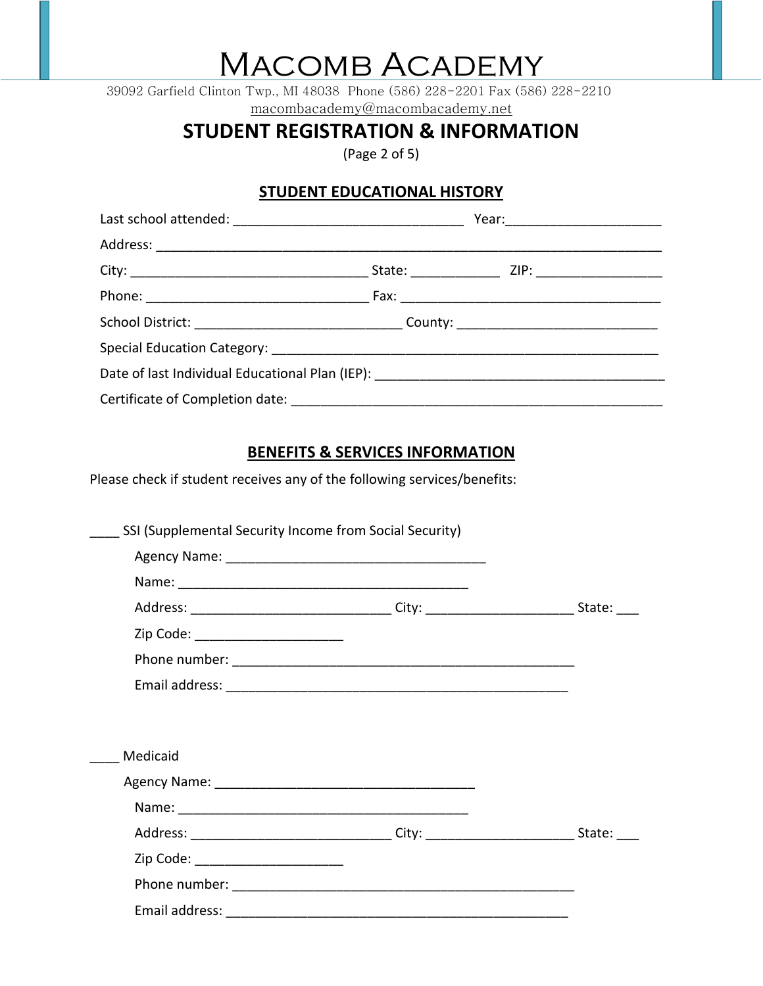39092 Garfield Clinton Twp., MI 48038 Phone (586) 228-2201 Fax (586) 228-2210 [macombacademy@macombacademy.net](mailto:macombacademy@macombacademy.net)

### **STUDENT REGISTRATION & INFORMATION**

(Page 2 of 5)

#### **STUDENT EDUCATIONAL HISTORY**

#### **BENEFITS & SERVICES INFORMATION**

Please check if student receives any of the following services/benefits:

|                                       | Address: ________________________________City: ______________________________State: ____ |        |
|---------------------------------------|------------------------------------------------------------------------------------------|--------|
| Zip Code: ___________________________ |                                                                                          |        |
|                                       |                                                                                          |        |
|                                       |                                                                                          |        |
| Medicaid                              |                                                                                          |        |
|                                       |                                                                                          |        |
|                                       |                                                                                          |        |
|                                       |                                                                                          | State: |
| Zip Code: _________________________   |                                                                                          |        |
|                                       |                                                                                          |        |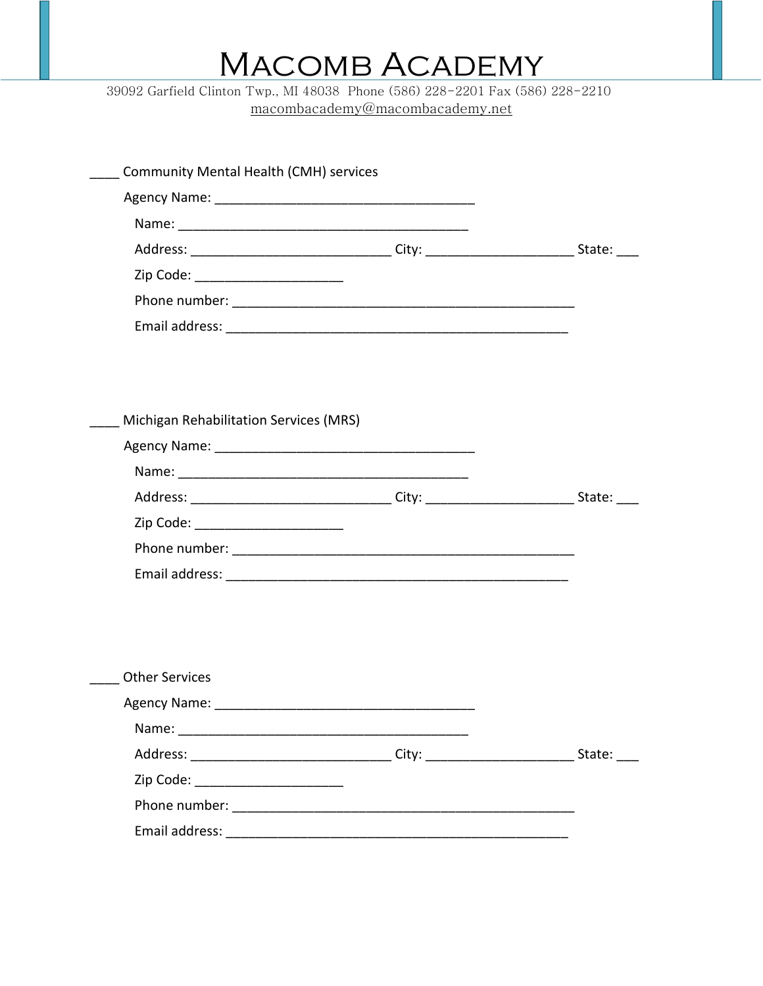39092 Garfield Clinton Twp., MI 48038 Phone (586) 228-2201 Fax (586) 228-2210 [macombacademy@macombacademy.net](mailto:macombacademy@macombacademy.net)

| <b>Community Mental Health (CMH) services</b>                                                                                                                                                                                  |                                                                                  |        |
|--------------------------------------------------------------------------------------------------------------------------------------------------------------------------------------------------------------------------------|----------------------------------------------------------------------------------|--------|
|                                                                                                                                                                                                                                |                                                                                  |        |
|                                                                                                                                                                                                                                |                                                                                  |        |
|                                                                                                                                                                                                                                |                                                                                  | State: |
| Zip Code: _________________________                                                                                                                                                                                            |                                                                                  |        |
|                                                                                                                                                                                                                                |                                                                                  |        |
|                                                                                                                                                                                                                                |                                                                                  |        |
| Michigan Rehabilitation Services (MRS)                                                                                                                                                                                         |                                                                                  |        |
|                                                                                                                                                                                                                                |                                                                                  |        |
|                                                                                                                                                                                                                                | Address: ________________________________City: _________________________________ | State: |
| Zip Code: _________________________                                                                                                                                                                                            |                                                                                  |        |
|                                                                                                                                                                                                                                |                                                                                  |        |
|                                                                                                                                                                                                                                |                                                                                  |        |
|                                                                                                                                                                                                                                |                                                                                  |        |
|                                                                                                                                                                                                                                |                                                                                  |        |
| <b>Other Services</b>                                                                                                                                                                                                          |                                                                                  |        |
|                                                                                                                                                                                                                                |                                                                                  |        |
| Name: when the contract of the contract of the contract of the contract of the contract of the contract of the contract of the contract of the contract of the contract of the contract of the contract of the contract of the |                                                                                  |        |
|                                                                                                                                                                                                                                | Address: City: City:                                                             | State: |
| Zip Code: ________________________                                                                                                                                                                                             |                                                                                  |        |
|                                                                                                                                                                                                                                |                                                                                  |        |
|                                                                                                                                                                                                                                |                                                                                  |        |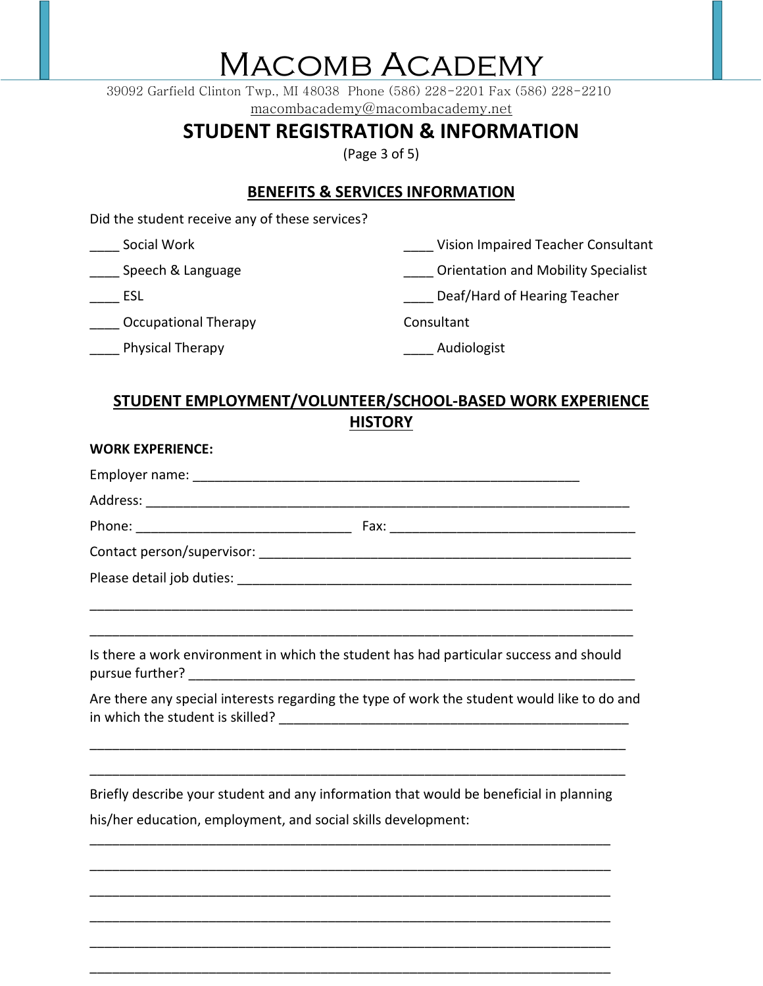39092 Garfield Clinton Twp., MI 48038 Phone (586) 228-2201 Fax (586) 228-2210 [macombacademy@macombacademy.net](mailto:macombacademy@macombacademy.net)

## **STUDENT REGISTRATION & INFORMATION**

(Page 3 of 5)

### **BENEFITS & SERVICES INFORMATION**

Did the student receive any of these services?

| Social Work          | Vision Impaired Teacher Consultant         |
|----------------------|--------------------------------------------|
| Speech & Language    | <b>Orientation and Mobility Specialist</b> |
| ESL                  | Deaf/Hard of Hearing Teacher               |
| Occupational Therapy | Consultant                                 |
| Physical Therapy     | Audiologist                                |

### **STUDENT EMPLOYMENT/VOLUNTEER/SCHOOL-BASED WORK EXPERIENCE HISTORY**

| <b>WORK EXPERIENCE:</b>                                       |                                                                                             |
|---------------------------------------------------------------|---------------------------------------------------------------------------------------------|
|                                                               |                                                                                             |
|                                                               |                                                                                             |
|                                                               |                                                                                             |
|                                                               |                                                                                             |
|                                                               |                                                                                             |
|                                                               | Is there a work environment in which the student has had particular success and should      |
|                                                               | Are there any special interests regarding the type of work the student would like to do and |
| his/her education, employment, and social skills development: | Briefly describe your student and any information that would be beneficial in planning      |
|                                                               |                                                                                             |
|                                                               |                                                                                             |

\_\_\_\_\_\_\_\_\_\_\_\_\_\_\_\_\_\_\_\_\_\_\_\_\_\_\_\_\_\_\_\_\_\_\_\_\_\_\_\_\_\_\_\_\_\_\_\_\_\_\_\_\_\_\_\_\_\_\_\_\_\_\_\_\_\_\_\_\_\_

\_\_\_\_\_\_\_\_\_\_\_\_\_\_\_\_\_\_\_\_\_\_\_\_\_\_\_\_\_\_\_\_\_\_\_\_\_\_\_\_\_\_\_\_\_\_\_\_\_\_\_\_\_\_\_\_\_\_\_\_\_\_\_\_\_\_\_\_\_\_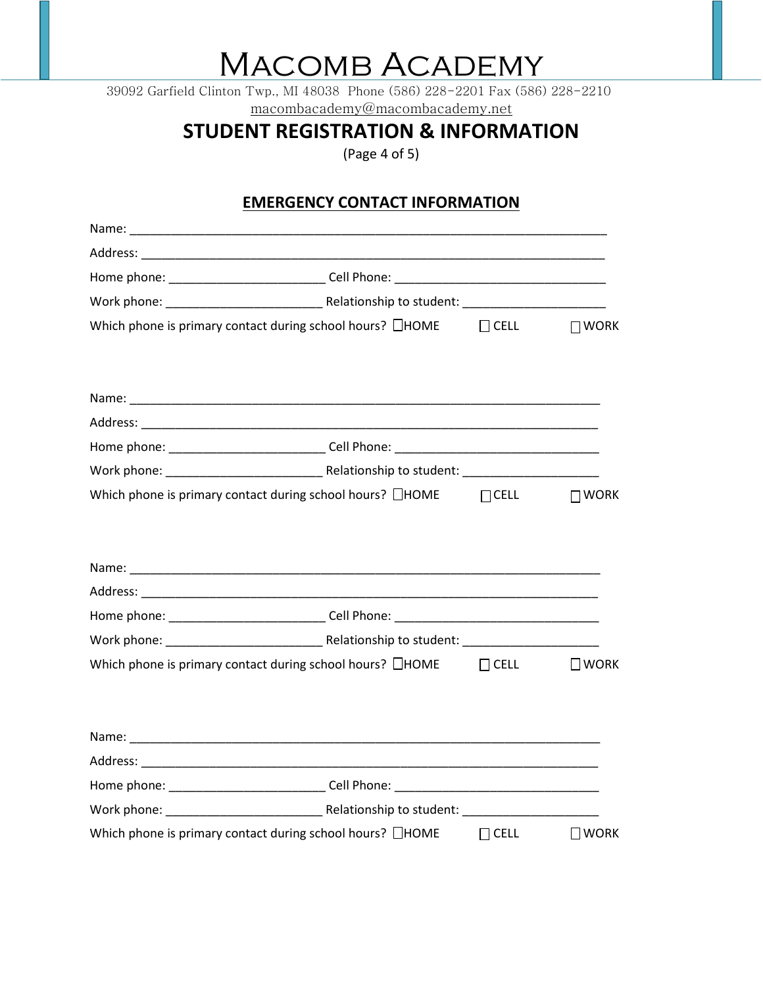39092 Garfield Clinton Twp., MI 48038 Phone (586) 228-2201 Fax (586) 228-2210 [macombacademy@macombacademy.net](mailto:macombacademy@macombacademy.net)

## **STUDENT REGISTRATION & INFORMATION**

(Page 4 of 5)

### **EMERGENCY CONTACT INFORMATION**

| Which phone is primary contact during school hours? $\Box$ HOME $\Box$ CELL $\Box$ TWORK |             |
|------------------------------------------------------------------------------------------|-------------|
|                                                                                          |             |
|                                                                                          |             |
|                                                                                          |             |
|                                                                                          |             |
| Which phone is primary contact during school hours? $\Box$ HOME $\Box$ CELL $\Box$ WORK  |             |
|                                                                                          |             |
|                                                                                          |             |
|                                                                                          |             |
| Which phone is primary contact during school hours? □HOME □ CELL □ □ WORK                |             |
|                                                                                          |             |
|                                                                                          |             |
|                                                                                          |             |
|                                                                                          |             |
| Which phone is primary contact during school hours? $\Box$ HOME $\Box$ CELL              | $\Box$ WORK |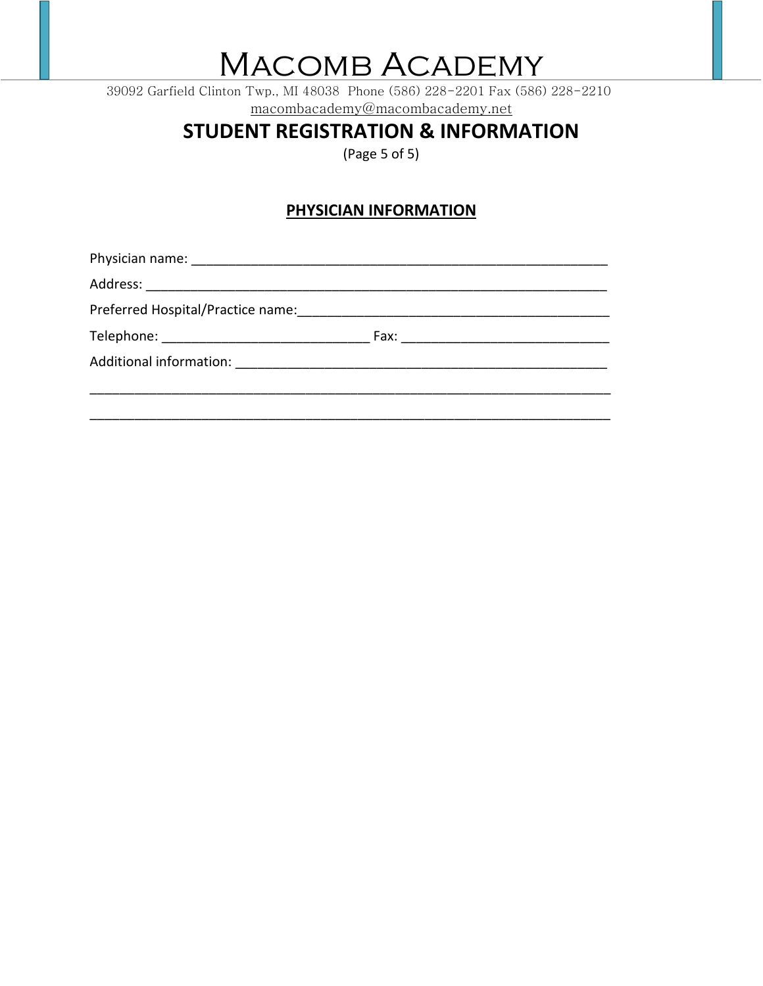39092 Garfield Clinton Twp., MI 48038 Phone (586) 228-2201 Fax (586) 228-2210 [macombacademy@macombacademy.net](mailto:macombacademy@macombacademy.net)

### **STUDENT REGISTRATION & INFORMATION**

(Page 5 of 5)

### **PHYSICIAN INFORMATION**

\_\_\_\_\_\_\_\_\_\_\_\_\_\_\_\_\_\_\_\_\_\_\_\_\_\_\_\_\_\_\_\_\_\_\_\_\_\_\_\_\_\_\_\_\_\_\_\_\_\_\_\_\_\_\_\_\_\_\_\_\_\_\_\_\_\_\_\_\_\_

Physician name: \_\_\_\_\_\_\_\_\_\_\_\_\_\_\_\_\_\_\_\_\_\_\_\_\_\_\_\_\_\_\_\_\_\_\_\_\_\_\_\_\_\_\_\_\_\_\_\_\_\_\_\_\_\_\_\_

Address: \_\_\_\_\_\_\_\_\_\_\_\_\_\_\_\_\_\_\_\_\_\_\_\_\_\_\_\_\_\_\_\_\_\_\_\_\_\_\_\_\_\_\_\_\_\_\_\_\_\_\_\_\_\_\_\_\_\_\_\_\_\_

Preferred Hospital/Practice name:

Telephone: \_\_\_\_\_\_\_\_\_\_\_\_\_\_\_\_\_\_\_\_\_\_\_\_\_\_\_\_ Fax: \_\_\_\_\_\_\_\_\_\_\_\_\_\_\_\_\_\_\_\_\_\_\_\_\_\_\_\_

Additional information: **Additional** information: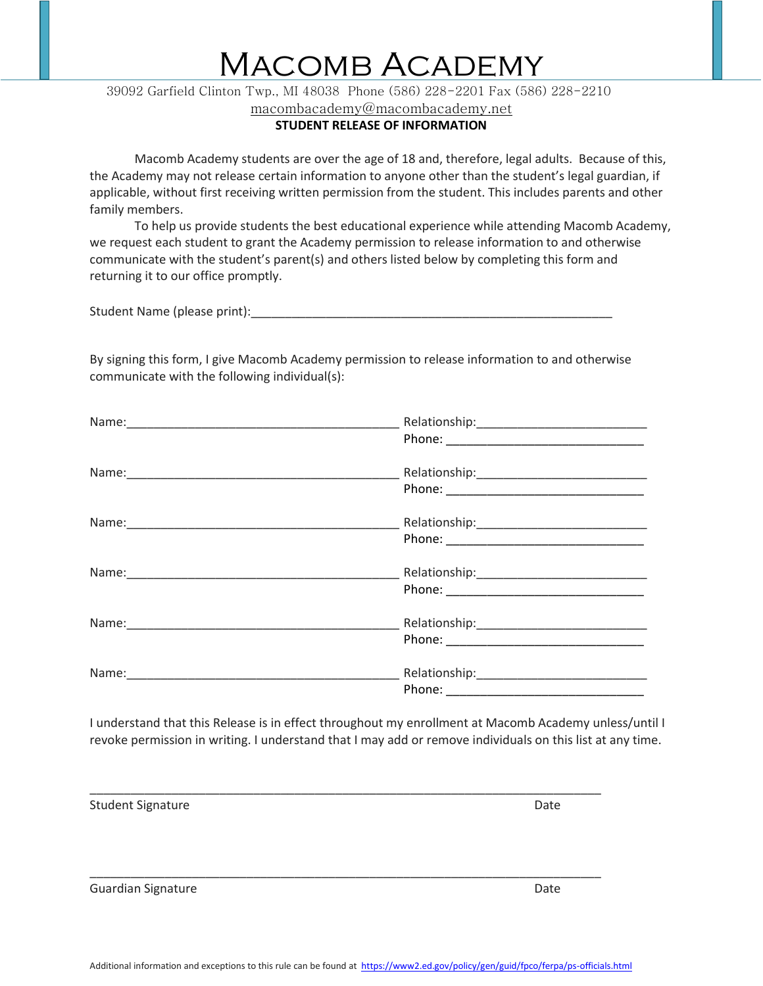39092 Garfield Clinton Twp., MI 48038 Phone (586) 228-2201 Fax (586) 228-2210

[macombacademy@macombacademy.net](mailto:macombacademy@macombacademy.net)

#### **STUDENT RELEASE OF INFORMATION**

Macomb Academy students are over the age of 18 and, therefore, legal adults. Because of this, the Academy may not release certain information to anyone other than the student's legal guardian, if applicable, without first receiving written permission from the student. This includes parents and other family members.

To help us provide students the best educational experience while attending Macomb Academy, we request each student to grant the Academy permission to release information to and otherwise communicate with the student's parent(s) and others listed below by completing this form and returning it to our office promptly.

Student Name (please print):

By signing this form, I give Macomb Academy permission to release information to and otherwise communicate with the following individual(s):

| Name: 1990 - 1990 - 1990 - 1990 - 1991 - 1992 - 1993 - 1994 - 1994 - 1994 - 1994 - 1994 - 1994 - 1994 - 1995 - |  |
|----------------------------------------------------------------------------------------------------------------|--|
|                                                                                                                |  |
|                                                                                                                |  |
|                                                                                                                |  |
|                                                                                                                |  |
|                                                                                                                |  |

I understand that this Release is in effect throughout my enrollment at Macomb Academy unless/until I revoke permission in writing. I understand that I may add or remove individuals on this list at any time.

\_\_\_\_\_\_\_\_\_\_\_\_\_\_\_\_\_\_\_\_\_\_\_\_\_\_\_\_\_\_\_\_\_\_\_\_\_\_\_\_\_\_\_\_\_\_\_\_\_\_\_\_\_\_\_\_\_\_\_\_\_\_\_\_\_\_\_\_\_\_\_\_\_\_\_

\_\_\_\_\_\_\_\_\_\_\_\_\_\_\_\_\_\_\_\_\_\_\_\_\_\_\_\_\_\_\_\_\_\_\_\_\_\_\_\_\_\_\_\_\_\_\_\_\_\_\_\_\_\_\_\_\_\_\_\_\_\_\_\_\_\_\_\_\_\_\_\_\_\_\_

| <b>Student Signature</b> | Date |
|--------------------------|------|
|--------------------------|------|

Guardian Signature **Date**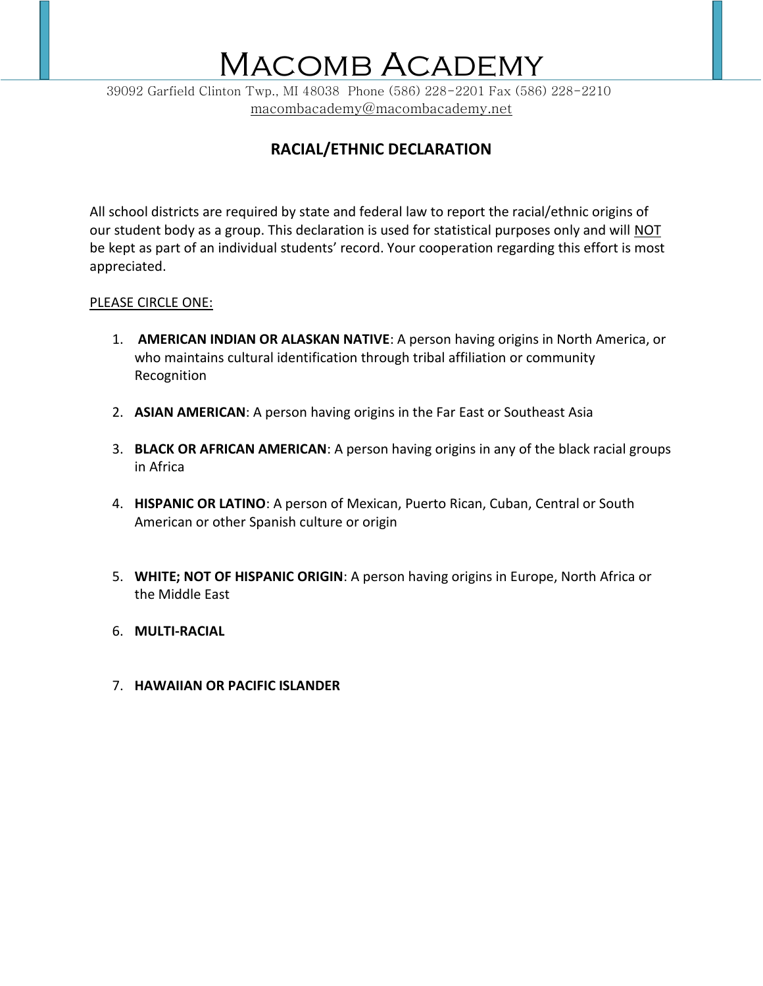39092 Garfield Clinton Twp., MI 48038 Phone (586) 228-2201 Fax (586) 228-2210 [macombacademy@macombacademy.net](mailto:macombacademy@macombacademy.net)

### **RACIAL/ETHNIC DECLARATION**

All school districts are required by state and federal law to report the racial/ethnic origins of our student body as a group. This declaration is used for statistical purposes only and will NOT be kept as part of an individual students' record. Your cooperation regarding this effort is most appreciated.

#### PLEASE CIRCLE ONE:

- 1. **AMERICAN INDIAN OR ALASKAN NATIVE**: A person having origins in North America, or who maintains cultural identification through tribal affiliation or community Recognition
- 2. **ASIAN AMERICAN**: A person having origins in the Far East or Southeast Asia
- 3. **BLACK OR AFRICAN AMERICAN**: A person having origins in any of the black racial groups in Africa
- 4. **HISPANIC OR LATINO**: A person of Mexican, Puerto Rican, Cuban, Central or South American or other Spanish culture or origin
- 5. **WHITE; NOT OF HISPANIC ORIGIN**: A person having origins in Europe, North Africa or the Middle East
- 6. **MULTI-RACIAL**
- 7. **HAWAIIAN OR PACIFIC ISLANDER**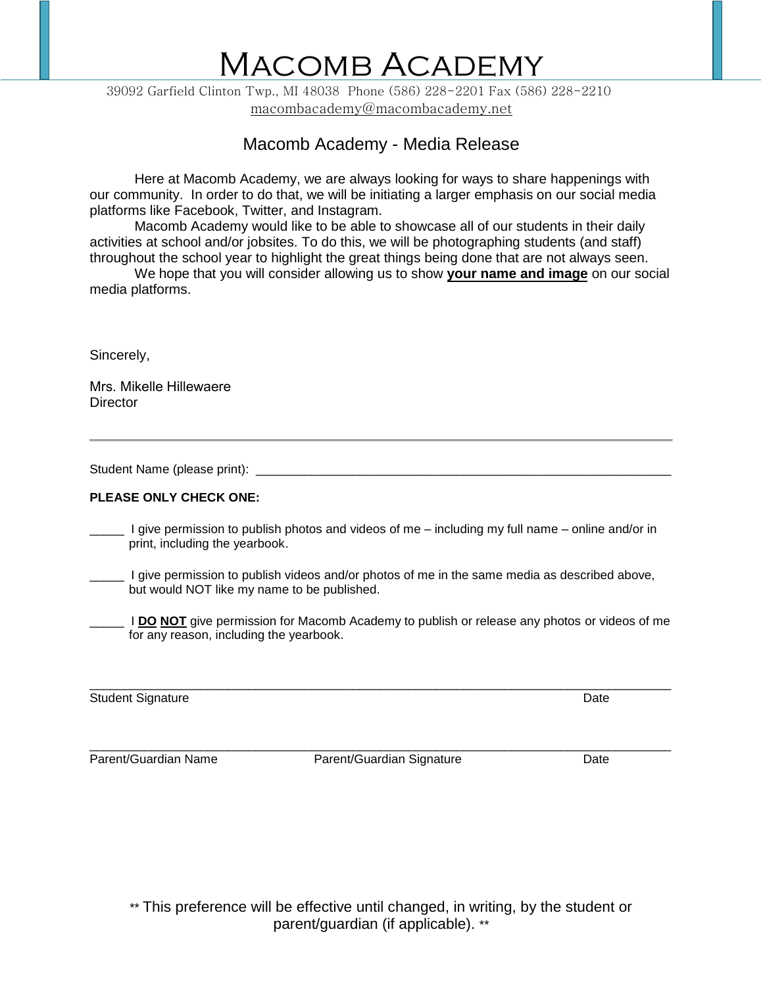## Macomb Academy

 39092 Garfield Clinton Twp., MI 48038 Phone (586) 228-2201 Fax (586) 228-2210 [macombacademy@macombacademy.net](mailto:macombacademy@macombacademy.net)

### Macomb Academy - Media Release

Here at Macomb Academy, we are always looking for ways to share happenings with our community. In order to do that, we will be initiating a larger emphasis on our social media platforms like Facebook, Twitter, and Instagram.

Macomb Academy would like to be able to showcase all of our students in their daily activities at school and/or jobsites. To do this, we will be photographing students (and staff) throughout the school year to highlight the great things being done that are not always seen.

We hope that you will consider allowing us to show **your name and image** on our social media platforms.

Sincerely,

Mrs. Mikelle Hillewaere **Director** 

Student Name (please print):  $\blacksquare$ 

#### **PLEASE ONLY CHECK ONE:**

I give permission to publish photos and videos of me – including my full name – online and/or in print, including the yearbook.

\_\_\_\_\_ I give permission to publish videos and/or photos of me in the same media as described above, but would NOT like my name to be published.

\_\_\_\_\_ I **DO NOT** give permission for Macomb Academy to publish or release any photos or videos of me for any reason, including the yearbook.

\_\_\_\_\_\_\_\_\_\_\_\_\_\_\_\_\_\_\_\_\_\_\_\_\_\_\_\_\_\_\_\_\_\_\_\_\_\_\_\_\_\_\_\_\_\_\_\_\_\_\_\_\_\_\_\_\_\_\_\_\_\_\_\_\_\_\_\_\_\_\_\_\_\_\_\_\_\_\_\_\_\_\_\_ **Student Signature Date** 

\_\_\_\_\_\_\_\_\_\_\_\_\_\_\_\_\_\_\_\_\_\_\_\_\_\_\_\_\_\_\_\_\_\_\_\_\_\_\_\_\_\_\_\_\_\_\_\_\_\_\_\_\_\_\_\_\_\_\_\_\_\_\_\_\_\_\_\_\_\_\_\_\_\_\_\_\_\_\_\_\_\_\_\_

Parent/Guardian Name **Parent/Guardian Signature** Parent/Guardian Signature Parent/Guardian Signature Parent/Guardian Signature Parent/Guardian Signature Parent/Guardian Signature Parent/Guardian Signature Parent/Guardian S

\*\* This preference will be effective until changed, in writing, by the student or parent/guardian (if applicable). \*\*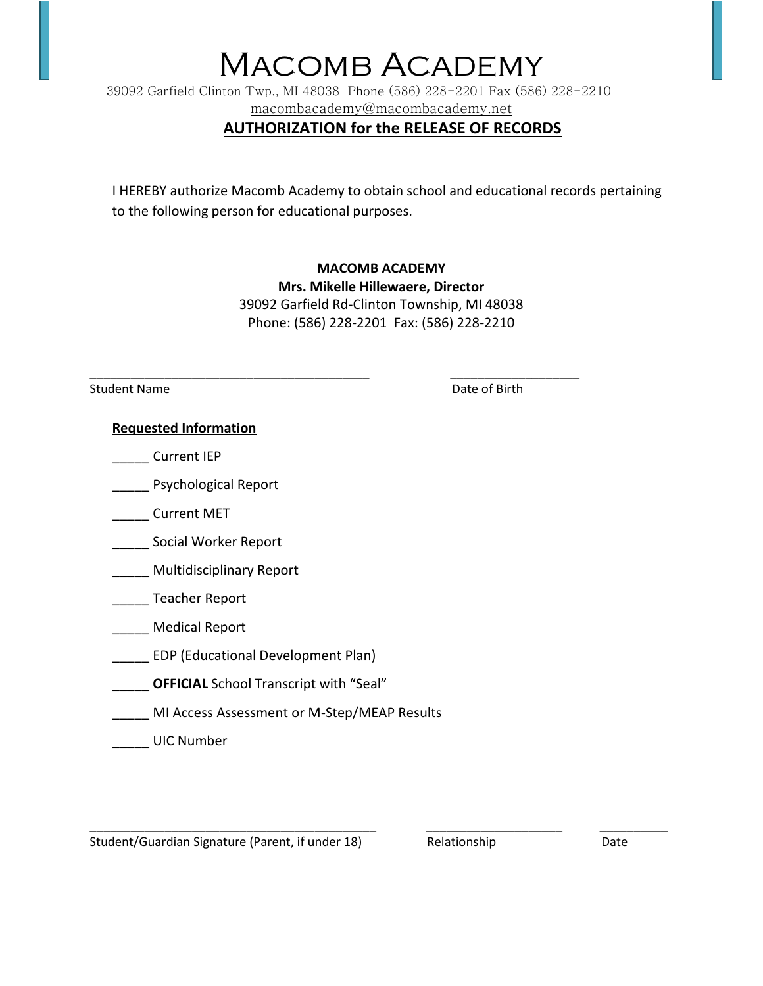39092 Garfield Clinton Twp., MI 48038 Phone (586) 228-2201 Fax (586) 228-2210 [macombacademy@macombacademy.net](mailto:macombacademy@macombacademy.net)

### **AUTHORIZATION for the RELEASE OF RECORDS**

I HEREBY authorize Macomb Academy to obtain school and educational records pertaining to the following person for educational purposes.

### **MACOMB ACADEMY**

**Mrs. Mikelle Hillewaere, Director**  39092 Garfield Rd-Clinton Township, MI 48038

Phone: (586) 228-2201 Fax: (586) 228-2210

\_\_\_\_\_\_\_\_\_\_\_\_\_\_\_\_\_\_\_\_\_\_\_\_\_\_\_\_\_\_\_\_\_\_\_\_\_\_\_\_\_ \_\_\_\_\_\_\_\_\_\_\_\_\_\_\_\_\_\_\_

Student Name **Date of Birth** 

#### **Requested Information**

- \_\_\_\_\_ Current IEP
- **Exercise Psychological Report**
- \_\_\_\_\_ Current MET
- \_\_\_\_\_ Social Worker Report
- \_\_\_\_\_ Multidisciplinary Report
- \_\_\_\_\_ Teacher Report
- \_\_\_\_\_ Medical Report
- \_\_\_\_\_ EDP (Educational Development Plan)
- \_\_\_\_\_ **OFFICIAL** School Transcript with "Seal"
- MI Access Assessment or M-Step/MEAP Results
- \_\_\_\_\_ UIC Number

Student/Guardian Signature (Parent, if under 18) Relationship Date

\_\_\_\_\_\_\_\_\_\_\_\_\_\_\_\_\_\_\_\_\_\_\_\_\_\_\_\_\_\_\_\_\_\_\_\_\_\_\_\_\_\_ \_\_\_\_\_\_\_\_\_\_\_\_\_\_\_\_\_\_\_\_ \_\_\_\_\_\_\_\_\_\_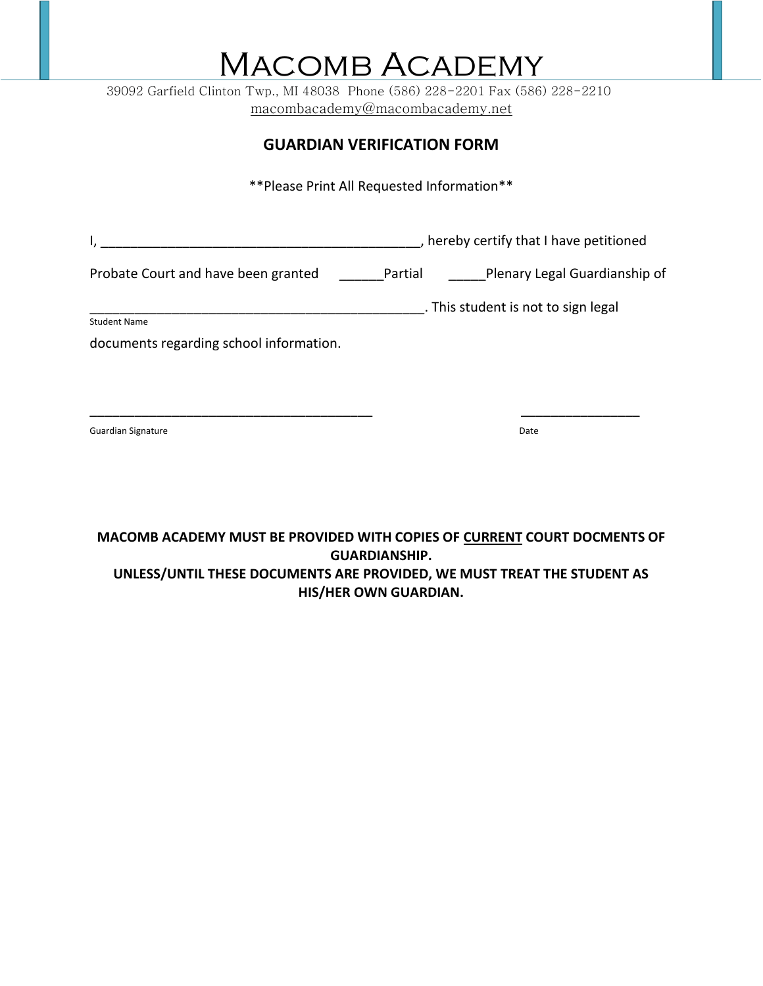39092 Garfield Clinton Twp., MI 48038 Phone (586) 228-2201 Fax (586) 228-2210 [macombacademy@macombacademy.net](mailto:macombacademy@macombacademy.net)

#### **GUARDIAN VERIFICATION FORM**

\*\*Please Print All Requested Information\*\*

I, \_\_\_\_\_\_\_\_\_\_\_\_\_\_\_\_\_\_\_\_\_\_\_\_\_\_\_\_\_\_\_\_\_\_\_\_\_\_\_\_\_\_\_, hereby certify that I have petitioned

Probate Court and have been granted **Partial Probate Court and have been granted** Partial Plenary Legal Guardianship of

\_\_\_\_\_\_\_\_\_\_\_\_\_\_\_\_\_\_\_\_\_\_\_\_\_\_\_\_\_\_\_\_\_\_\_\_\_\_ \_\_\_\_\_\_\_\_\_\_\_\_\_\_\_\_

dent is not to sign legal contains the student is not to sign legal Student Name

documents regarding school information.

Guardian Signature **Date** 

**MACOMB ACADEMY MUST BE PROVIDED WITH COPIES OF CURRENT COURT DOCMENTS OF GUARDIANSHIP. UNLESS/UNTIL THESE DOCUMENTS ARE PROVIDED, WE MUST TREAT THE STUDENT AS HIS/HER OWN GUARDIAN.**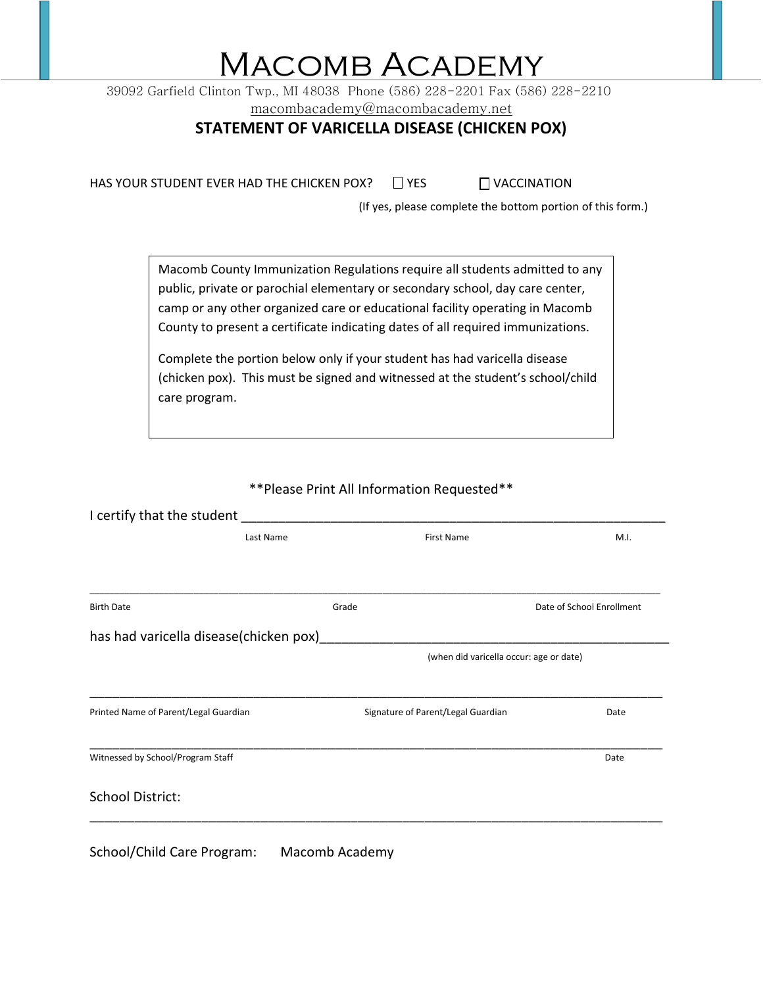39092 Garfield Clinton Twp., MI 48038 Phone (586) 228-2201 Fax (586) 228-2210

[macombacademy@macombacademy.net](mailto:macombacademy@macombacademy.net)

### **STATEMENT OF VARICELLA DISEASE (CHICKEN POX)**

| HAS YOUR STUDENT EVER HAD THE CHICKEN POX?<br><b>TYES</b> | $\Box$ VACCINATION |
|-----------------------------------------------------------|--------------------|
|-----------------------------------------------------------|--------------------|

(If yes, please complete the bottom portion of this form.)

Macomb County Immunization Regulations require all students admitted to any public, private or parochial elementary or secondary school, day care center, camp or any other organized care or educational facility operating in Macomb County to present a certificate indicating dates of all required immunizations.

Complete the portion below only if your student has had varicella disease (chicken pox). This must be signed and witnessed at the student's school/child care program.

#### \*\*Please Print All Information Requested\*\*

| I certify that the student             |                                    |                                         |
|----------------------------------------|------------------------------------|-----------------------------------------|
| Last Name                              | <b>First Name</b>                  | M.I.                                    |
| <b>Birth Date</b>                      | Grade                              | Date of School Enrollment               |
| has had varicella disease(chicken pox) |                                    |                                         |
|                                        |                                    | (when did varicella occur: age or date) |
| Printed Name of Parent/Legal Guardian  | Signature of Parent/Legal Guardian | Date                                    |
| Witnessed by School/Program Staff      |                                    | Date                                    |
| <b>School District:</b>                |                                    |                                         |
| School/Child Care Program:             | Macomb Academy                     |                                         |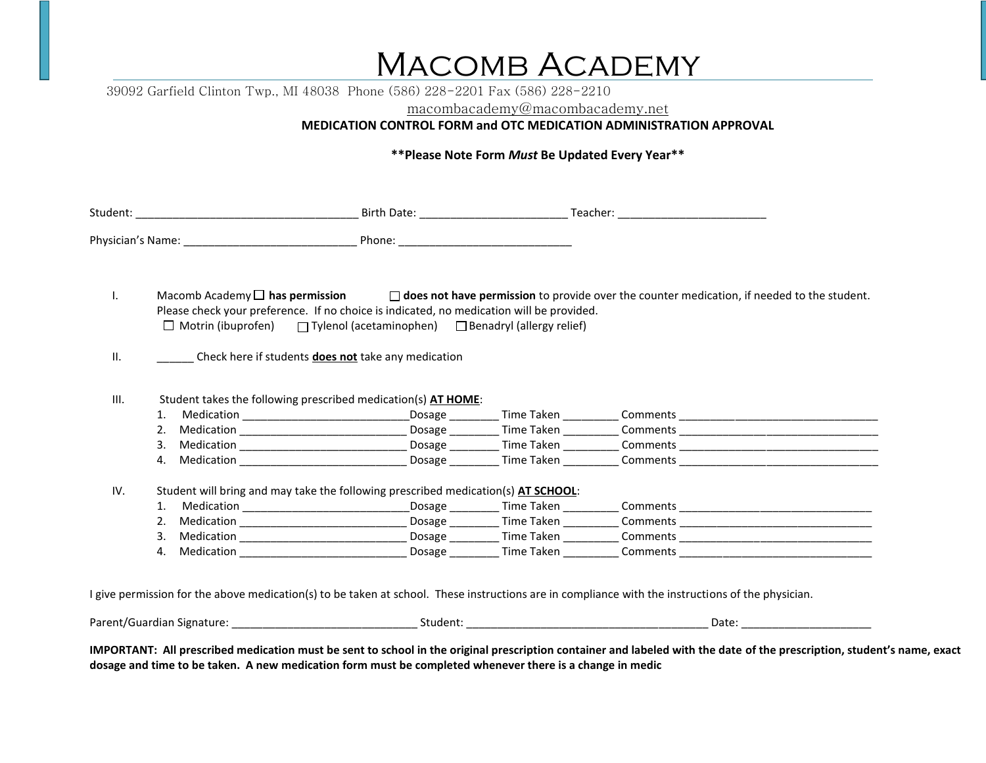39092 Garfield Clinton Twp., MI 48038 Phone (586) 228-2201 Fax (586) 228-2210

[macombacademy@macombacademy.net](mailto:macombacademy@macombacademy.net)

#### **MEDICATION CONTROL FORM and OTC MEDICATION ADMINISTRATION APPROVAL**

#### **\*\*Please Note Form** *Must* **Be Updated Every Year\*\***

|                                                                                 |    |                                                                                                                                                                                                                                                                                                                                 |                                                            |  | _Birth Date: ___________________________________Teacher: _______________________                                                                  |  |  |
|---------------------------------------------------------------------------------|----|---------------------------------------------------------------------------------------------------------------------------------------------------------------------------------------------------------------------------------------------------------------------------------------------------------------------------------|------------------------------------------------------------|--|---------------------------------------------------------------------------------------------------------------------------------------------------|--|--|
| Physician's Name: example, the physician's Name: example, the physician's Name: |    |                                                                                                                                                                                                                                                                                                                                 |                                                            |  |                                                                                                                                                   |  |  |
| Τ.                                                                              |    | Macomb Academy $\Box$ has permission $\Box$ does not have permission to provide over the counter medication, if needed to the student.<br>Please check your preference. If no choice is indicated, no medication will be provided.<br>$\Box$ Motrin (ibuprofen) $\Box$ Tylenol (acetaminophen) $\Box$ Benadryl (allergy relief) |                                                            |  |                                                                                                                                                   |  |  |
| II.                                                                             |    |                                                                                                                                                                                                                                                                                                                                 | Check here if students <b>does not</b> take any medication |  |                                                                                                                                                   |  |  |
| III.                                                                            |    | Student takes the following prescribed medication(s) AT HOME:                                                                                                                                                                                                                                                                   |                                                            |  |                                                                                                                                                   |  |  |
|                                                                                 | 1. |                                                                                                                                                                                                                                                                                                                                 |                                                            |  | _Dosage ___________ Time Taken ____________ Comments ___________________________                                                                  |  |  |
|                                                                                 | 2. |                                                                                                                                                                                                                                                                                                                                 |                                                            |  | _Dosage ___________ Time Taken ___________ Comments ____________________________                                                                  |  |  |
|                                                                                 | 3. |                                                                                                                                                                                                                                                                                                                                 |                                                            |  |                                                                                                                                                   |  |  |
|                                                                                 | 4. |                                                                                                                                                                                                                                                                                                                                 |                                                            |  | Dosage ___________ Time Taken ____________ Comments _____________________________                                                                 |  |  |
| IV.                                                                             |    | Student will bring and may take the following prescribed medication(s) AT SCHOOL:                                                                                                                                                                                                                                               |                                                            |  |                                                                                                                                                   |  |  |
|                                                                                 | 1. |                                                                                                                                                                                                                                                                                                                                 |                                                            |  |                                                                                                                                                   |  |  |
|                                                                                 | 2. |                                                                                                                                                                                                                                                                                                                                 |                                                            |  | _ Dosage _________ Time Taken ___________ Comments _____________________________                                                                  |  |  |
|                                                                                 | 3. |                                                                                                                                                                                                                                                                                                                                 |                                                            |  |                                                                                                                                                   |  |  |
|                                                                                 | 4. |                                                                                                                                                                                                                                                                                                                                 |                                                            |  | Dosage _____________Time Taken _____________Comments ____________________________                                                                 |  |  |
|                                                                                 |    |                                                                                                                                                                                                                                                                                                                                 |                                                            |  | I give permission for the above medication(s) to be taken at school. These instructions are in compliance with the instructions of the physician. |  |  |
|                                                                                 |    |                                                                                                                                                                                                                                                                                                                                 |                                                            |  |                                                                                                                                                   |  |  |
| Parent/Guardian Signature:                                                      |    |                                                                                                                                                                                                                                                                                                                                 | Student:                                                   |  | Date:                                                                                                                                             |  |  |

**IMPORTANT: All prescribed medication must be sent to school in the original prescription container and labeled with the date of the prescription, student's name, exact dosage and time to be taken. A new medication form must be completed whenever there is a change in medic**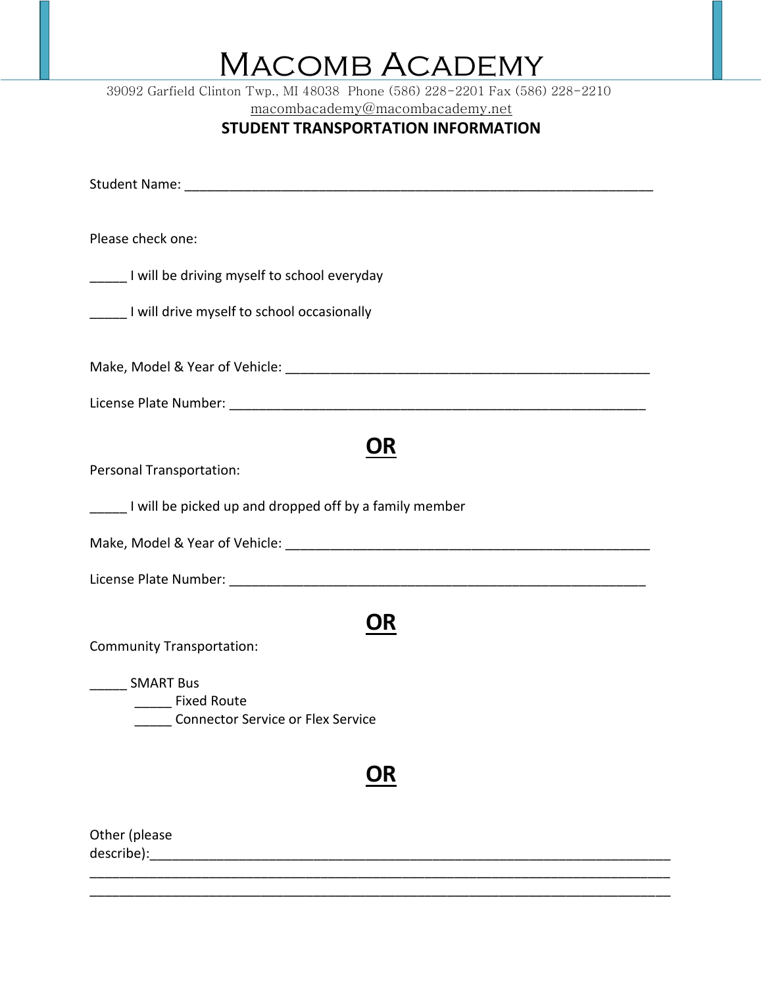39092 Garfield Clinton Twp., MI 48038 Phone (586) 228-2201 Fax (586) 228-2210

[macombacademy@macombacademy.net](mailto:macombacademy@macombacademy.net)

### **STUDENT TRANSPORTATION INFORMATION**

Student Name: \_\_\_\_\_\_\_\_\_\_\_\_\_\_\_\_\_\_\_\_\_\_\_\_\_\_\_\_\_\_\_\_\_\_\_\_\_\_\_\_\_\_\_\_\_\_\_\_\_\_\_\_\_\_\_\_\_\_\_\_\_\_\_

Please check one:

I will be driving myself to school everyday

\_\_\_\_\_ I will drive myself to school occasionally

Make, Model & Year of Vehicle: \_\_\_\_\_\_\_\_\_\_\_\_\_\_\_\_\_\_\_\_\_\_\_\_\_\_\_\_\_\_\_\_\_\_\_\_\_\_\_\_\_\_\_\_\_\_\_\_\_

License Plate Number: **Example 2018** 

## **OR**

Personal Transportation:

\_\_\_\_\_ I will be picked up and dropped off by a family member

Make, Model & Year of Vehicle: \_\_\_\_\_\_\_\_\_\_\_\_\_\_\_\_\_\_\_\_\_\_\_\_\_\_\_\_\_\_\_\_\_\_\_\_\_\_\_\_\_\_\_\_\_\_\_\_\_

License Plate Number: \_\_\_\_\_\_\_\_\_\_\_\_\_\_\_\_\_\_\_\_\_\_\_\_\_\_\_\_\_\_\_\_\_\_\_\_\_\_\_\_\_\_\_\_\_\_\_\_\_\_\_\_\_\_\_\_

### **OR**

Community Transportation:

\_\_\_\_\_ SMART Bus

\_\_\_\_\_ Fixed Route

\_\_\_\_\_ Connector Service or Flex Service

## **OR**

\_\_\_\_\_\_\_\_\_\_\_\_\_\_\_\_\_\_\_\_\_\_\_\_\_\_\_\_\_\_\_\_\_\_\_\_\_\_\_\_\_\_\_\_\_\_\_\_\_\_\_\_\_\_\_\_\_\_\_\_\_\_\_\_\_\_\_\_\_\_\_\_\_\_\_\_\_\_ \_\_\_\_\_\_\_\_\_\_\_\_\_\_\_\_\_\_\_\_\_\_\_\_\_\_\_\_\_\_\_\_\_\_\_\_\_\_\_\_\_\_\_\_\_\_\_\_\_\_\_\_\_\_\_\_\_\_\_\_\_\_\_\_\_\_\_\_\_\_\_\_\_\_\_\_\_\_

Other (please describe):